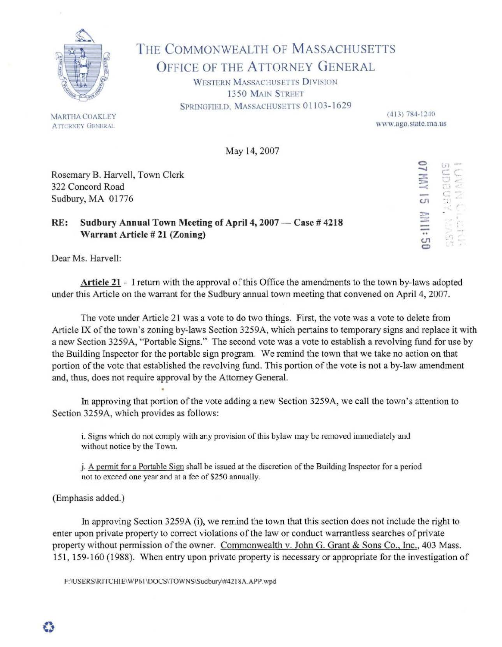

## THE COMMONWEALTH OF MASSACHUSETTS OFFICE OF THE ATTORNEY GENERAL

WESTERN MASSACHUSETTS DIVISION 1350 MAIN STREET SPRINGFIELD, MASSACHUSETTS 01103-1629

> (413) 784-1240 www.ago.state.ma.us

May 14, 2007

Rosemary B. Harvell, Town Clerk 322 Concord Road Sudbury, MA 01776

## RE: Sudbury Annual Town Meeting of April 4, 2007 — Case # 4218 Warrant Article# 21 (Zoning)

 $\Xi$ -· :::> -< CJ1 **三:** 0  $\tilde{\alpha}$ c:  $\Xi$ .<br>h .. u. .. ' ... " .<br>.<br>. '. ,

Dear Ms. Harvell:

Article 21 - I return with the approval of this Office the amendments to the town by-laws adopted under this Article on the warrant for the Sudbury annual town meeting that convened on April 4, 2007.

The vote under Article 21 was a vote to do two things. First, the vote was a vote to delete from Article IX of the town's zoning by-laws Section 3259A, which pertains to temporary signs and replace it with a new Section 3259A, "Portable Signs." The second vote was a vote to establish a revolving fund for use by the Building Inspector for the portable sign program. We remind the town that we take no action on that portion of the vote that established the revolving fund. This portion of the vote is not a by-law amendment and, thus, does not require approval by the Attorney General.

In approving that portion of the vote adding a new Section 3259A, we call the town's attention to Section 3259A, which provides as follows:

i. Signs which do not comply with any provision of this bylaw may be removed immediately and without notice by the Town.

j. A pennit for a Portable Sign shall be issued at the discretion of the Building Inspector for a period not to exceed one year and at a fee of \$250 annually.

(Emphasis added.)

In approving Section 3259A (i), we remind the town that this section does not include the right to enter upon private property to correct violations of the law or conduct warrantless searches of private property without permission of the owner. Commonwealth v. John G. Grant & Sons Co., Inc., 403 Mass. 151, 159-160 (1988). When entry upon private property is necessary or appropriate for the investigation of

F:\USERS\RITCHIE\WP61\DOCS\TOWNS\Sudbury\#4218A.APP.wpd

MARTHA COAKLEY ATTORNEY GENERAL